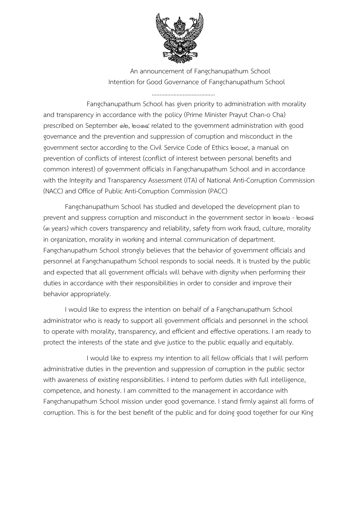

An announcement of Fangchanupathum School Intention for Good Governance of Fangchanupathum School

Fangchanupathum School has given priority to administration with morality and transparency in accordance with the policy (Prime Minister Prayut Chan-o Cha) prescribed on September ® b, bo® crelated to the government administration with good governance and the prevention and suppression of corruption and misconduct in the government sector according to the Civil Service Code of Ethics book, a manual on prevention of conflicts of interest (conflict of interest between personal benefits and common interest) of government officials in Fangchanupathum School and in accordance with the Integrity and Transparency Assessment (ITA) of National Anti-Corruption Commission (NACC) and Office of Public Anti-Corruption Commission (PACC)

Fangchanupathum School has studied and developed the development plan to prevent and suppress corruption and misconduct in the government sector in boob - bood (3 years) which covers transparency and reliability, safety from work fraud, culture, morality in organization, morality in working and internal communication of department. Fangchanupathum School strongly believes that the behavior of government officials and personnel at Fangchanupathum School responds to social needs. It is trusted by the public and expected that all government officials will behave with dignity when performing their duties in accordance with their responsibilities in order to consider and improve their behavior appropriately.

I would like to express the intention on behalf of a Fangchanupathum School administrator who is ready to support all government officials and personnel in the school to operate with morality, transparency, and efficient and effective operations. I am ready to protect the interests of the state and give justice to the public equally and equitably.

I would like to express my intention to all fellow officials that I will perform administrative duties in the prevention and suppression of corruption in the public sector with awareness of existing responsibilities. I intend to perform duties with full intelligence, competence, and honesty. I am committed to the management in accordance with Fangchanupathum School mission under good governance. I stand firmly against all forms of corruption. This is for the best benefit of the public and for doing good together for our King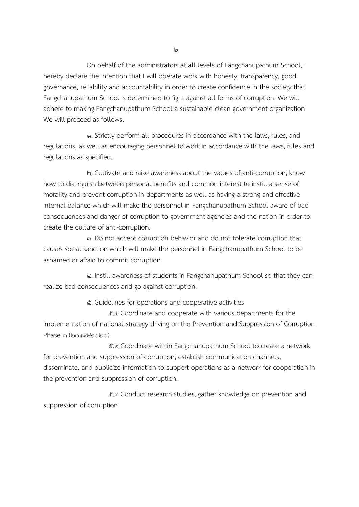On behalf of the administrators at all levels of Fangchanupathum School, I hereby declare the intention that I will operate work with honesty, transparency, good governance, reliability and accountability in order to create confidence in the society that Fangchanupathum School is determined to fight against all forms of corruption. We will adhere to making Fangchanupathum School a sustainable clean government organization We will proceed as follows.

1. Strictly perform all procedures in accordance with the laws, rules, and regulations, as well as encouraging personnel to work in accordance with the laws, rules and regulations as specified.

2. Cultivate and raise awareness about the values of anti-corruption, know how to distinguish between personal benefits and common interest to instill a sense of morality and prevent corruption in departments as well as having a strong and effective internal balance which will make the personnel in Fangchanupathum School aware of bad consequences and danger of corruption to government agencies and the nation in order to create the culture of anti-corruption.

3. Do not accept corruption behavior and do not tolerate corruption that causes social sanction which will make the personnel in Fangchanupathum School to be ashamed or afraid to commit corruption.

4. Instill awareness of students in Fangchanupathum School so that they can realize bad consequences and go against corruption.

5. Guidelines for operations and cooperative activities

5.1 Coordinate and cooperate with various departments for the implementation of national strategy driving on the Prevention and Suppression of Corruption  $Phase$   $m (known-length<sub>o</sub>)$ .

5.2 Coordinate within Fangchanupathum School to create a network for prevention and suppression of corruption, establish communication channels, disseminate, and publicize information to support operations as a network for cooperation in the prevention and suppression of corruption.

5.3 Conduct research studies, gather knowledge on prevention and suppression of corruption

ပြ